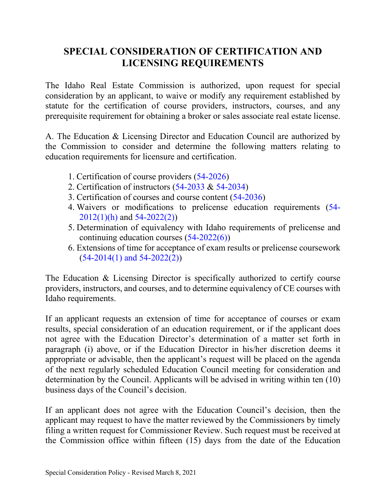# **SPECIAL CONSIDERATION OF CERTIFICATION AND LICENSING REQUIREMENTS**

The Idaho Real Estate Commission is authorized, upon request for special consideration by an applicant, to waive or modify any requirement established by statute for the certification of course providers, instructors, courses, and any prerequisite requirement for obtaining a broker or sales associate real estate license.

A. The Education & Licensing Director and Education Council are authorized by the Commission to consider and determine the following matters relating to education requirements for licensure and certification.

- 1. Certification of course providers (54-2026)
- 2. Certification of instructors (54-2033 & 54-2034)
- 3. Certification of courses and course content (54-2036)
- 4. Waivers or modifications to prelicense education requirements (54- 2012(1)(h) and 54-2022(2))
- 5. Determination of equivalency with Idaho requirements of prelicense and continuing education courses (54-2022(6))
- 6. Extensions of time for acceptance of exam results or prelicense coursework  $(54-2014(1)$  and  $54-2022(2))$

The Education & Licensing Director is specifically authorized to certify course providers, instructors, and courses, and to determine equivalency of CE courses with Idaho requirements.

If an applicant requests an extension of time for acceptance of courses or exam results, special consideration of an education requirement, or if the applicant does not agree with the Education Director's determination of a matter set forth in paragraph (i) above, or if the Education Director in his/her discretion deems it appropriate or advisable, then the applicant's request will be placed on the agenda of the next regularly scheduled Education Council meeting for consideration and determination by the Council. Applicants will be advised in writing within ten (10) business days of the Council's decision.

If an applicant does not agree with the Education Council's decision, then the applicant may request to have the matter reviewed by the Commissioners by timely filing a written request for Commissioner Review. Such request must be received at the Commission office within fifteen (15) days from the date of the Education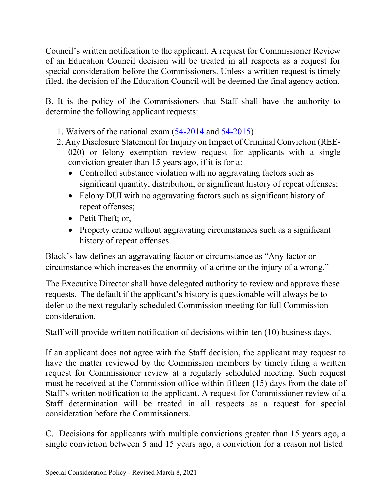Council's written notification to the applicant. A request for Commissioner Review of an Education Council decision will be treated in all respects as a request for special consideration before the Commissioners. Unless a written request is timely filed, the decision of the Education Council will be deemed the final agency action.

B. It is the policy of the Commissioners that Staff shall have the authority to determine the following applicant requests:

- 1. Waivers of the national exam (54-2014 and 54-2015)
- 2. Any Disclosure Statement for Inquiry on Impact of Criminal Conviction (REE-020) or felony exemption review request for applicants with a single conviction greater than 15 years ago, if it is for a:
	- Controlled substance violation with no aggravating factors such as significant quantity, distribution, or significant history of repeat offenses;
	- Felony DUI with no aggravating factors such as significant history of repeat offenses;
	- Petit Theft; or,
	- Property crime without aggravating circumstances such as a significant history of repeat offenses.

Black's law defines an aggravating factor or circumstance as "Any factor or circumstance which increases the enormity of a crime or the injury of a wrong."

The Executive Director shall have delegated authority to review and approve these requests. The default if the applicant's history is questionable will always be to defer to the next regularly scheduled Commission meeting for full Commission consideration.

Staff will provide written notification of decisions within ten (10) business days.

If an applicant does not agree with the Staff decision, the applicant may request to have the matter reviewed by the Commission members by timely filing a written request for Commissioner review at a regularly scheduled meeting. Such request must be received at the Commission office within fifteen (15) days from the date of Staff's written notification to the applicant. A request for Commissioner review of a Staff determination will be treated in all respects as a request for special consideration before the Commissioners.

C. Decisions for applicants with multiple convictions greater than 15 years ago, a single conviction between 5 and 15 years ago, a conviction for a reason not listed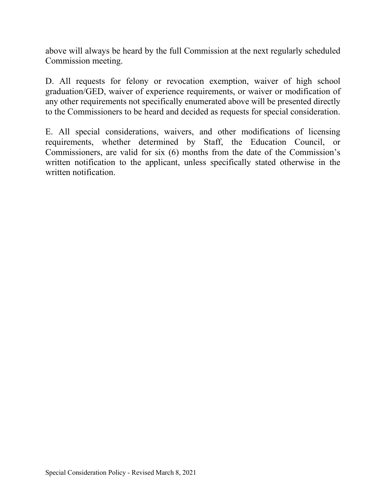above will always be heard by the full Commission at the next regularly scheduled Commission meeting.

D. All requests for felony or revocation exemption, waiver of high school graduation/GED, waiver of experience requirements, or waiver or modification of any other requirements not specifically enumerated above will be presented directly to the Commissioners to be heard and decided as requests for special consideration.

E. All special considerations, waivers, and other modifications of licensing requirements, whether determined by Staff, the Education Council, or Commissioners, are valid for six (6) months from the date of the Commission's written notification to the applicant, unless specifically stated otherwise in the written notification.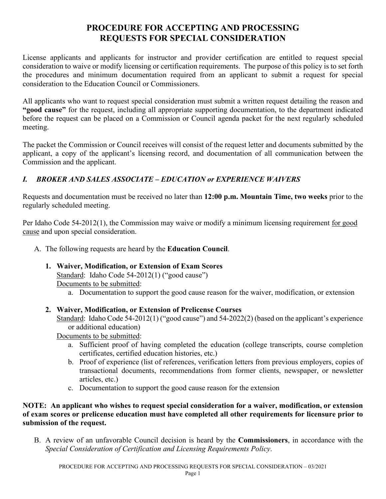## **PROCEDURE FOR ACCEPTING AND PROCESSING REQUESTS FOR SPECIAL CONSIDERATION**

License applicants and applicants for instructor and provider certification are entitled to request special consideration to waive or modify licensing or certification requirements. The purpose of this policy is to set forth the procedures and minimum documentation required from an applicant to submit a request for special consideration to the Education Council or Commissioners.

All applicants who want to request special consideration must submit a written request detailing the reason and **"good cause"** for the request, including all appropriate supporting documentation, to the department indicated before the request can be placed on a Commission or Council agenda packet for the next regularly scheduled meeting.

The packet the Commission or Council receives will consist of the request letter and documents submitted by the applicant, a copy of the applicant's licensing record, and documentation of all communication between the Commission and the applicant.

## *I. BROKER AND SALES ASSOCIATE – EDUCATION or EXPERIENCE WAIVERS*

Requests and documentation must be received no later than **12:00 p.m. Mountain Time, two weeks** prior to the regularly scheduled meeting.

Per Idaho Code 54-2012(1), the Commission may waive or modify a minimum licensing requirement for good cause and upon special consideration.

- A. The following requests are heard by the **Education Council**.
	- **1. Waiver, Modification, or Extension of Exam Scores** Standard: Idaho Code 54-2012(1) ("good cause") Documents to be submitted:
		- a. Documentation to support the good cause reason for the waiver, modification, or extension
	- **2. Waiver, Modification, or Extension of Prelicense Courses**
		- Standard: Idaho Code 54-2012(1) ("good cause") and 54-2022(2) (based on the applicant's experience or additional education)

Documents to be submitted:

- a. Sufficient proof of having completed the education (college transcripts, course completion certificates, certified education histories, etc.)
- b. Proof of experience (list of references, verification letters from previous employers, copies of transactional documents, recommendations from former clients, newspaper, or newsletter articles, etc.)
- c. Documentation to support the good cause reason for the extension

#### **NOTE: An applicant who wishes to request special consideration for a waiver, modification, or extension of exam scores or prelicense education must have completed all other requirements for licensure prior to submission of the request.**

B. A review of an unfavorable Council decision is heard by the **Commissioners**, in accordance with the *Special Consideration of Certification and Licensing Requirements Policy*.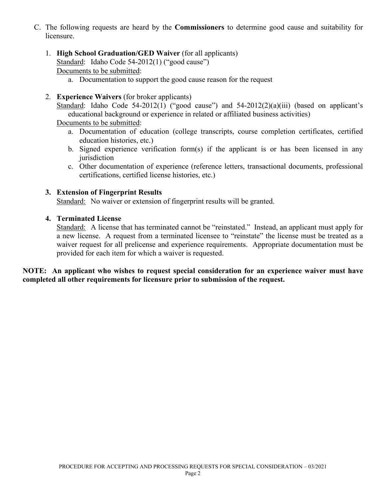- C. The following requests are heard by the **Commissioners** to determine good cause and suitability for licensure.
	- 1. **High School Graduation/GED Waiver** (for all applicants) Standard: Idaho Code 54-2012(1) ("good cause") Documents to be submitted:
		- a. Documentation to support the good cause reason for the request
	- 2. **Experience Waivers** (for broker applicants)

Standard: Idaho Code 54-2012(1) ("good cause") and  $54-2012(2)(a)(iii)$  (based on applicant's educational background or experience in related or affiliated business activities)

Documents to be submitted:

- a. Documentation of education (college transcripts, course completion certificates, certified education histories, etc.)
- b. Signed experience verification form(s) if the applicant is or has been licensed in any iurisdiction
- c. Other documentation of experience (reference letters, transactional documents, professional certifications, certified license histories, etc.)

#### **3. Extension of Fingerprint Results**

Standard: No waiver or extension of fingerprint results will be granted.

#### **4. Terminated License**

Standard: A license that has terminated cannot be "reinstated." Instead, an applicant must apply for a new license. A request from a terminated licensee to "reinstate" the license must be treated as a waiver request for all prelicense and experience requirements. Appropriate documentation must be provided for each item for which a waiver is requested.

**NOTE: An applicant who wishes to request special consideration for an experience waiver must have completed all other requirements for licensure prior to submission of the request.**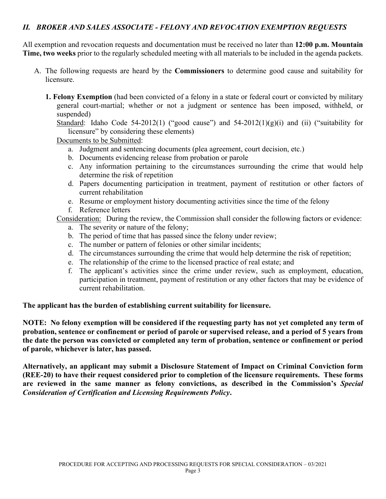### *II. BROKER AND SALES ASSOCIATE - FELONY AND REVOCATION EXEMPTION REQUESTS*

All exemption and revocation requests and documentation must be received no later than **12:00 p.m. Mountain Time, two weeks** prior to the regularly scheduled meeting with all materials to be included in the agenda packets.

- A. The following requests are heard by the **Commissioners** to determine good cause and suitability for licensure.
	- **1. Felony Exemption** (had been convicted of a felony in a state or federal court or convicted by military general court-martial; whether or not a judgment or sentence has been imposed, withheld, or suspended)

Standard: Idaho Code 54-2012(1) ("good cause") and  $54-2012(1)(g)(i)$  and (ii) ("suitability for licensure" by considering these elements)

Documents to be Submitted:

- a. Judgment and sentencing documents (plea agreement, court decision, etc.)
- b. Documents evidencing release from probation or parole
- c. Any information pertaining to the circumstances surrounding the crime that would help determine the risk of repetition
- d. Papers documenting participation in treatment, payment of restitution or other factors of current rehabilitation
- e. Resume or employment history documenting activities since the time of the felony
- f. Reference letters

Consideration: During the review, the Commission shall consider the following factors or evidence:

- a. The severity or nature of the felony;
- b. The period of time that has passed since the felony under review;
- c. The number or pattern of felonies or other similar incidents;
- d. The circumstances surrounding the crime that would help determine the risk of repetition;
- e. The relationship of the crime to the licensed practice of real estate; and
- f. The applicant's activities since the crime under review, such as employment, education, participation in treatment, payment of restitution or any other factors that may be evidence of current rehabilitation.

#### **The applicant has the burden of establishing current suitability for licensure.**

**NOTE: No felony exemption will be considered if the requesting party has not yet completed any term of probation, sentence or confinement or period of parole or supervised release, and a period of 5 years from the date the person was convicted or completed any term of probation, sentence or confinement or period of parole, whichever is later, has passed.** 

**Alternatively, an applicant may submit a Disclosure Statement of Impact on Criminal Conviction form (REE-20) to have their request considered prior to completion of the licensure requirements. These forms are reviewed in the same manner as felony convictions, as described in the Commission's** *Special Consideration of Certification and Licensing Requirements Policy***.**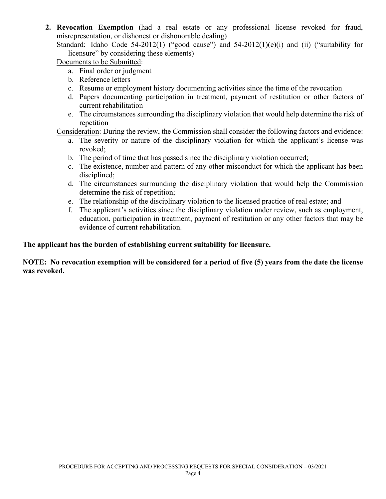**2. Revocation Exemption** (had a real estate or any professional license revoked for fraud, misrepresentation, or dishonest or dishonorable dealing)

Standard: Idaho Code 54-2012(1) ("good cause") and  $54-2012(1)(e)(i)$  and (ii) ("suitability for licensure" by considering these elements)

Documents to be Submitted:

- a. Final order or judgment
- b. Reference letters
- c. Resume or employment history documenting activities since the time of the revocation
- d. Papers documenting participation in treatment, payment of restitution or other factors of current rehabilitation
- e. The circumstances surrounding the disciplinary violation that would help determine the risk of repetition

Consideration: During the review, the Commission shall consider the following factors and evidence:

- a. The severity or nature of the disciplinary violation for which the applicant's license was revoked;
- b. The period of time that has passed since the disciplinary violation occurred;
- c. The existence, number and pattern of any other misconduct for which the applicant has been disciplined;
- d. The circumstances surrounding the disciplinary violation that would help the Commission determine the risk of repetition;
- e. The relationship of the disciplinary violation to the licensed practice of real estate; and
- f. The applicant's activities since the disciplinary violation under review, such as employment, education, participation in treatment, payment of restitution or any other factors that may be evidence of current rehabilitation.

#### **The applicant has the burden of establishing current suitability for licensure.**

#### **NOTE: No revocation exemption will be considered for a period of five (5) years from the date the license was revoked.**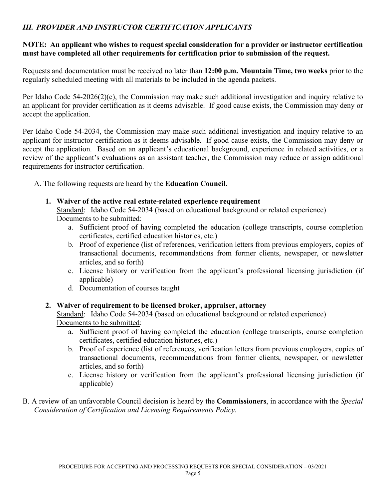## *III. PROVIDER AND INSTRUCTOR CERTIFICATION APPLICANTS*

#### **NOTE: An applicant who wishes to request special consideration for a provider or instructor certification must have completed all other requirements for certification prior to submission of the request.**

Requests and documentation must be received no later than **12:00 p.m. Mountain Time, two weeks** prior to the regularly scheduled meeting with all materials to be included in the agenda packets.

Per Idaho Code 54-2026(2)(c), the Commission may make such additional investigation and inquiry relative to an applicant for provider certification as it deems advisable. If good cause exists, the Commission may deny or accept the application.

Per Idaho Code 54-2034, the Commission may make such additional investigation and inquiry relative to an applicant for instructor certification as it deems advisable. If good cause exists, the Commission may deny or accept the application. Based on an applicant's educational background, experience in related activities, or a review of the applicant's evaluations as an assistant teacher, the Commission may reduce or assign additional requirements for instructor certification.

A. The following requests are heard by the **Education Council**.

**1. Waiver of the active real estate-related experience requirement**

Standard: Idaho Code 54-2034 (based on educational background or related experience) Documents to be submitted:

- a. Sufficient proof of having completed the education (college transcripts, course completion certificates, certified education histories, etc.)
- b. Proof of experience (list of references, verification letters from previous employers, copies of transactional documents, recommendations from former clients, newspaper, or newsletter articles, and so forth)
- c. License history or verification from the applicant's professional licensing jurisdiction (if applicable)
- d. Documentation of courses taught

#### **2. Waiver of requirement to be licensed broker, appraiser, attorney**

Standard: Idaho Code 54-2034 (based on educational background or related experience) Documents to be submitted:

- a. Sufficient proof of having completed the education (college transcripts, course completion certificates, certified education histories, etc.)
- b. Proof of experience (list of references, verification letters from previous employers, copies of transactional documents, recommendations from former clients, newspaper, or newsletter articles, and so forth)
- c. License history or verification from the applicant's professional licensing jurisdiction (if applicable)
- B. A review of an unfavorable Council decision is heard by the **Commissioners**, in accordance with the *Special Consideration of Certification and Licensing Requirements Policy*.